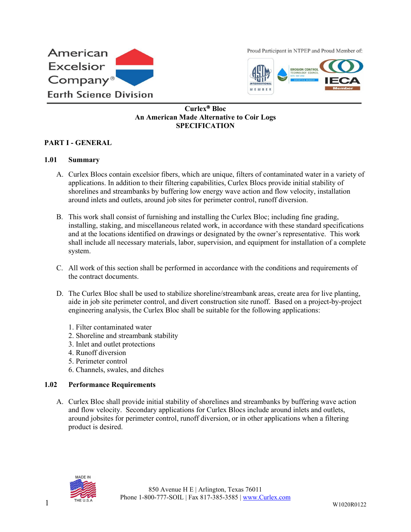

Proud Participant in NTPEP and Proud Member of:



# **Curlex Bloc An American Made Alternative to Coir Logs SPECIFICATION**

### **PART I - GENERAL**

#### **1.01 Summary**

- A. Curlex Blocs contain excelsior fibers, which are unique, filters of contaminated water in a variety of applications. In addition to their filtering capabilities, Curlex Blocs provide initial stability of shorelines and streambanks by buffering low energy wave action and flow velocity, installation around inlets and outlets, around job sites for perimeter control, runoff diversion.
- B. This work shall consist of furnishing and installing the Curlex Bloc; including fine grading, installing, staking, and miscellaneous related work, in accordance with these standard specifications and at the locations identified on drawings or designated by the owner's representative. This work shall include all necessary materials, labor, supervision, and equipment for installation of a complete system.
- C. All work of this section shall be performed in accordance with the conditions and requirements of the contract documents.
- D. The Curlex Bloc shall be used to stabilize shoreline/streambank areas, create area for live planting, aide in job site perimeter control, and divert construction site runoff. Based on a project-by-project engineering analysis, the Curlex Bloc shall be suitable for the following applications:
	- 1. Filter contaminated water
	- 2. Shoreline and streambank stability
	- 3. Inlet and outlet protections
	- 4. Runoff diversion
	- 5. Perimeter control
	- 6. Channels, swales, and ditches

#### **1.02 Performance Requirements**

A. Curlex Bloc shall provide initial stability of shorelines and streambanks by buffering wave action and flow velocity. Secondary applications for Curlex Blocs include around inlets and outlets, around jobsites for perimeter control, runoff diversion, or in other applications when a filtering product is desired.

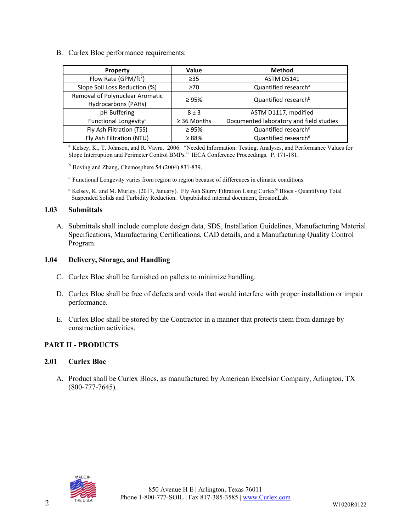B. Curlex Bloc performance requirements:

| Property                                               | Value            | <b>Method</b>                           |
|--------------------------------------------------------|------------------|-----------------------------------------|
| Flow Rate (GPM/ft <sup>2</sup> )                       | $\geq$ 35        | <b>ASTM D5141</b>                       |
| Slope Soil Loss Reduction (%)                          | $\geq 70$        | Quantified research <sup>a</sup>        |
| Removal of Polynuclear Aromatic<br>Hydrocarbons (PAHs) | $\geq 95\%$      | Quantified research <sup>b</sup>        |
| pH Buffering                                           | $8 \pm 3$        | ASTM D1117, modified                    |
| Functional Longevity <sup>c</sup>                      | $\geq$ 36 Months | Documented laboratory and field studies |
| Fly Ash Filtration (TSS)                               | $\geq 95\%$      | Quantified research <sup>d</sup>        |
| Fly Ash Filtration (NTU)                               | $\geq 88\%$      | Quantified research <sup>d</sup>        |

<sup>a</sup> Kelsey, K., T. Johnson, and R. Vavra. 2006. "Needed Information: Testing, Analyses, and Performance Values for Slope Interruption and Perimeter Control BMPs." IECA Conference Proceedings. P. 171-181.

 $<sup>b</sup>$  Boving and Zhang, Chemosphere 54 (2004) 831-839.</sup>

<sup>c</sup> Functional Longevity varies from region to region because of differences in climatic conditions.

<sup>d</sup> Kelsey, K. and M. Murley. (2017, January). Fly Ash Slurry Filtration Using Curlex® Blocs - Quantifying Total Suspended Solids and Turbidity Reduction. Unpublished internal document, ErosionLab.

### **1.03 Submittals**

A. Submittals shall include complete design data, SDS, Installation Guidelines, Manufacturing Material Specifications, Manufacturing Certifications, CAD details, and a Manufacturing Quality Control Program.

### **1.04 Delivery, Storage, and Handling**

- C. Curlex Bloc shall be furnished on pallets to minimize handling.
- D. Curlex Bloc shall be free of defects and voids that would interfere with proper installation or impair performance.
- E. Curlex Bloc shall be stored by the Contractor in a manner that protects them from damage by construction activities.

# **PART II - PRODUCTS**

#### **2.01 Curlex Bloc**

A. Product shall be Curlex Blocs, as manufactured by American Excelsior Company, Arlington, TX (800-777-7645).

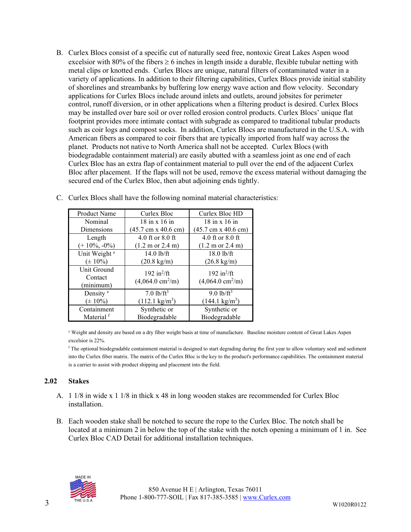B. Curlex Blocs consist of a specific cut of naturally seed free, nontoxic Great Lakes Aspen wood excelsior with 80% of the fibers  $\geq 6$  inches in length inside a durable, flexible tubular netting with metal clips or knotted ends. Curlex Blocs are unique, natural filters of contaminated water in a variety of applications. In addition to their filtering capabilities, Curlex Blocs provide initial stability of shorelines and streambanks by buffering low energy wave action and flow velocity. Secondary applications for Curlex Blocs include around inlets and outlets, around jobsites for perimeter control, runoff diversion, or in other applications when a filtering product is desired. Curlex Blocs may be installed over bare soil or over rolled erosion control products. Curlex Blocs' unique flat footprint provides more intimate contact with subgrade as compared to traditional tubular products such as coir logs and compost socks. In addition, Curlex Blocs are manufactured in the U.S.A. with American fibers as compared to coir fibers that are typically imported from half way across the planet. Products not native to North America shall not be accepted. Curlex Blocs (with biodegradable containment material) are easily abutted with a seamless joint as one end of each Curlex Bloc has an extra flap of containment material to pull over the end of the adjacent Curlex Bloc after placement. If the flaps will not be used, remove the excess material without damaging the secured end of the Curlex Bloc, then abut adjoining ends tightly.

| <b>Product Name</b>      | Curlex Bloc                                | Curlex Bloc HD                             |
|--------------------------|--------------------------------------------|--------------------------------------------|
| Nominal                  | $18$ in x $16$ in                          | 18 in x 16 in                              |
| Dimensions               | $(45.7 \text{ cm} \times 40.6 \text{ cm})$ | $(45.7 \text{ cm} \times 40.6 \text{ cm})$ |
| Length                   | 4.0 ft or $8.0$ ft                         | 4.0 ft or 8.0 ft                           |
| $(+10\%, -0\%)$          | $(1.2 \text{ m or } 2.4 \text{ m})$        | $(1.2 \text{ m or } 2.4 \text{ m})$        |
| Unit Weight <sup>e</sup> | 14.0 lb/ft                                 | 18.0 lb/ft                                 |
| $(\pm 10\%)$             | $(20.8 \text{ kg/m})$                      | $(26.8 \text{ kg/m})$                      |
| Unit Ground              | 192 in $^{2}/$ ft                          | 192 in $^{2}/$ ft                          |
| Contact                  | $(4,064.0 \text{ cm}^2/\text{m})$          | $(4,064.0 \text{ cm}^2/\text{m})$          |
| (minimum)                |                                            |                                            |
| Density <sup>e</sup>     | 7.0 $1b/ft3$                               | $9.0 \frac{\text{lb}}{\text{ft}^3}$        |
| $(\pm 10\%)$             | $(112.1 \text{ kg/m}^3)$                   | $(144.1 \text{ kg/m}^3)$                   |
| Containment              | Synthetic or                               | Synthetic or                               |
| Material <sup>f</sup>    | Biodegradable                              | Biodegradable                              |

C. Curlex Blocs shall have the following nominal material characteristics:

<sup>e</sup> Weight and density are based on a dry fiber weight basis at time of manufacture. Baseline moisture content of Great Lakes Aspen excelsior is 22%.

<sup>f</sup> The optional biodegradable containment material is designed to start degrading during the first year to allow voluntary seed and sediment into the Curlex fiber matrix. The matrix of the Curlex Bloc is the key to the product's performance capabilities. The containment material is a carrier to assist with product shipping and placement into the field.

# **2.02 Stakes**

- A. 1 1/8 in wide x 1 1/8 in thick x 48 in long wooden stakes are recommended for Curlex Bloc installation.
- B. Each wooden stake shall be notched to secure the rope to the Curlex Bloc. The notch shall be located at a minimum 2 in below the top of the stake with the notch opening a minimum of 1 in. See Curlex Bloc CAD Detail for additional installation techniques.

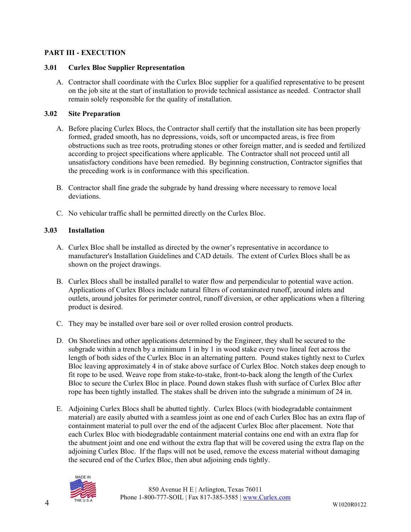### **PART III - EXECUTION**

#### **3.01 Curlex Bloc Supplier Representation**

A. Contractor shall coordinate with the Curlex Bloc supplier for a qualified representative to be present on the job site at the start of installation to provide technical assistance as needed. Contractor shall remain solely responsible for the quality of installation.

### **3.02 Site Preparation**

- A. Before placing Curlex Blocs, the Contractor shall certify that the installation site has been properly formed, graded smooth, has no depressions, voids, soft or uncompacted areas, is free from obstructions such as tree roots, protruding stones or other foreign matter, and is seeded and fertilized according to project specifications where applicable. The Contractor shall not proceed until all unsatisfactory conditions have been remedied. By beginning construction, Contractor signifies that the preceding work is in conformance with this specification.
- B. Contractor shall fine grade the subgrade by hand dressing where necessary to remove local deviations.
- C. No vehicular traffic shall be permitted directly on the Curlex Bloc.

# **3.03 Installation**

- A. Curlex Bloc shall be installed as directed by the owner's representative in accordance to manufacturer's Installation Guidelines and CAD details. The extent of Curlex Blocs shall be as shown on the project drawings.
- B. Curlex Blocs shall be installed parallel to water flow and perpendicular to potential wave action. Applications of Curlex Blocs include natural filters of contaminated runoff, around inlets and outlets, around jobsites for perimeter control, runoff diversion, or other applications when a filtering product is desired.
- C. They may be installed over bare soil or over rolled erosion control products.
- D. On Shorelines and other applications determined by the Engineer, they shall be secured to the subgrade within a trench by a minimum 1 in by 1 in wood stake every two lineal feet across the length of both sides of the Curlex Bloc in an alternating pattern. Pound stakes tightly next to Curlex Bloc leaving approximately 4 in of stake above surface of Curlex Bloc. Notch stakes deep enough to fit rope to be used. Weave rope from stake-to-stake, front-to-back along the length of the Curlex Bloc to secure the Curlex Bloc in place. Pound down stakes flush with surface of Curlex Bloc after rope has been tightly installed. The stakes shall be driven into the subgrade a minimum of 24 in.
- E. Adjoining Curlex Blocs shall be abutted tightly. Curlex Blocs (with biodegradable containment material) are easily abutted with a seamless joint as one end of each Curlex Bloc has an extra flap of containment material to pull over the end of the adjacent Curlex Bloc after placement. Note that each Curlex Bloc with biodegradable containment material contains one end with an extra flap for the abutment joint and one end without the extra flap that will be covered using the extra flap on the adjoining Curlex Bloc. If the flaps will not be used, remove the excess material without damaging the secured end of the Curlex Bloc, then abut adjoining ends tightly.

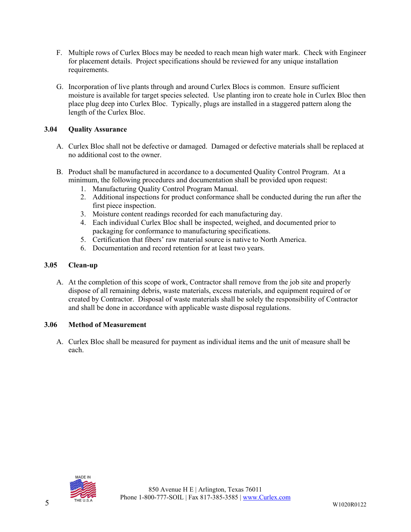- F. Multiple rows of Curlex Blocs may be needed to reach mean high water mark. Check with Engineer for placement details. Project specifications should be reviewed for any unique installation requirements.
- G. Incorporation of live plants through and around Curlex Blocs is common. Ensure sufficient moisture is available for target species selected. Use planting iron to create hole in Curlex Bloc then place plug deep into Curlex Bloc. Typically, plugs are installed in a staggered pattern along the length of the Curlex Bloc.

# **3.04 Quality Assurance**

- A. Curlex Bloc shall not be defective or damaged. Damaged or defective materials shall be replaced at no additional cost to the owner.
- B. Product shall be manufactured in accordance to a documented Quality Control Program. At a minimum, the following procedures and documentation shall be provided upon request:
	- 1. Manufacturing Quality Control Program Manual.
	- 2. Additional inspections for product conformance shall be conducted during the run after the first piece inspection.
	- 3. Moisture content readings recorded for each manufacturing day.
	- 4. Each individual Curlex Bloc shall be inspected, weighed, and documented prior to packaging for conformance to manufacturing specifications.
	- 5. Certification that fibers' raw material source is native to North America.
	- 6. Documentation and record retention for at least two years.

### **3.05 Clean-up**

A. At the completion of this scope of work, Contractor shall remove from the job site and properly dispose of all remaining debris, waste materials, excess materials, and equipment required of or created by Contractor. Disposal of waste materials shall be solely the responsibility of Contractor and shall be done in accordance with applicable waste disposal regulations.

# **3.06 Method of Measurement**

A. Curlex Bloc shall be measured for payment as individual items and the unit of measure shall be each.